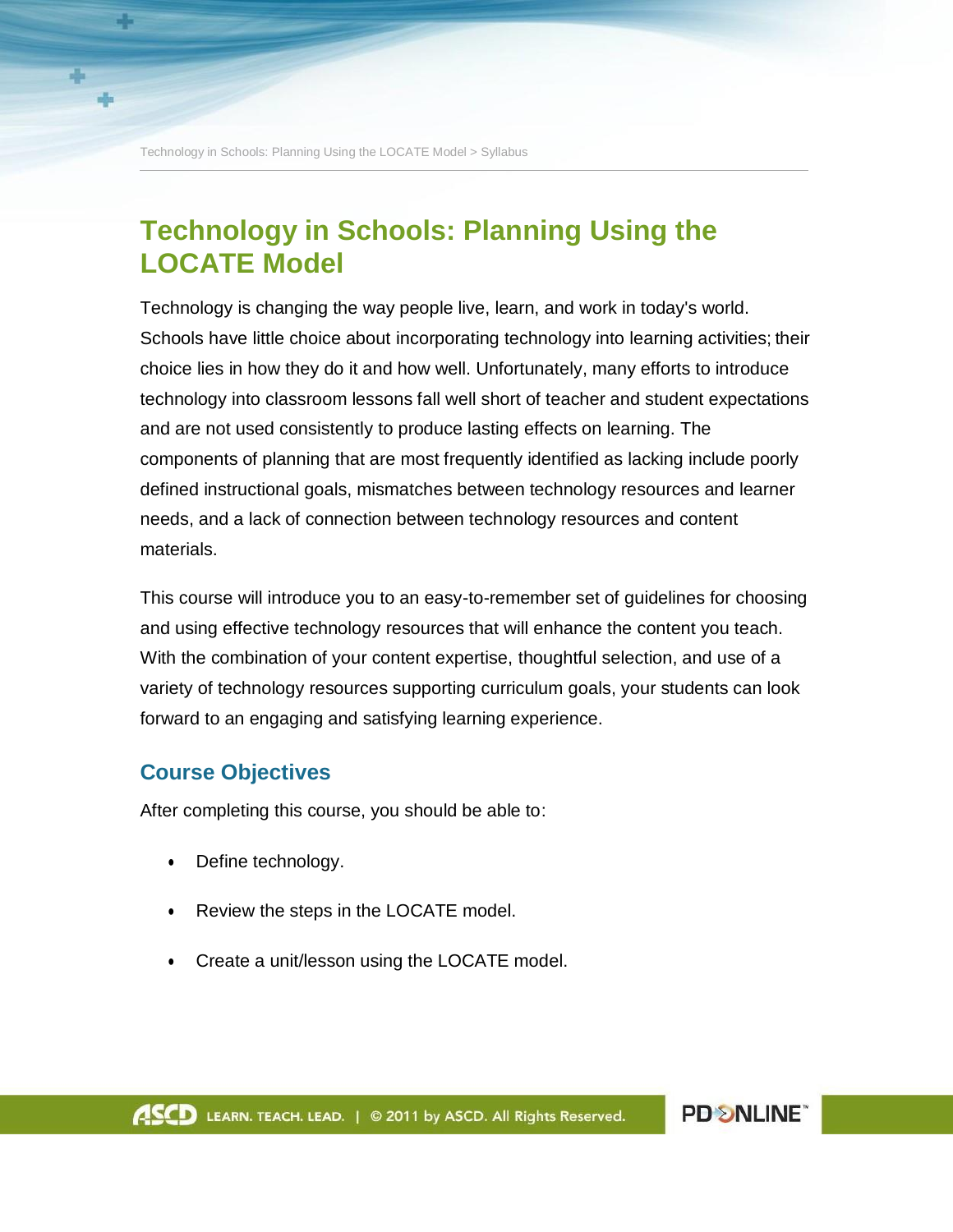Technology in Schools: Planning Using the LOCATE Model > Syllabus

## **Technology in Schools: Planning Using the LOCATE Model**

Technology is changing the way people live, learn, and work in today's world. Schools have little choice about incorporating technology into learning activities; their choice lies in how they do it and how well. Unfortunately, many efforts to introduce technology into classroom lessons fall well short of teacher and student expectations and are not used consistently to produce lasting effects on learning. The components of planning that are most frequently identified as lacking include poorly defined instructional goals, mismatches between technology resources and learner needs, and a lack of connection between technology resources and content materials.

This course will introduce you to an easy-to-remember set of guidelines for choosing and using effective technology resources that will enhance the content you teach. With the combination of your content expertise, thoughtful selection, and use of a variety of technology resources supporting curriculum goals, your students can look forward to an engaging and satisfying learning experience.

## **Course Objectives**

After completing this course, you should be able to:

- Define technology.
- Review the steps in the LOCATE model.
- Create a unit/lesson using the LOCATE model.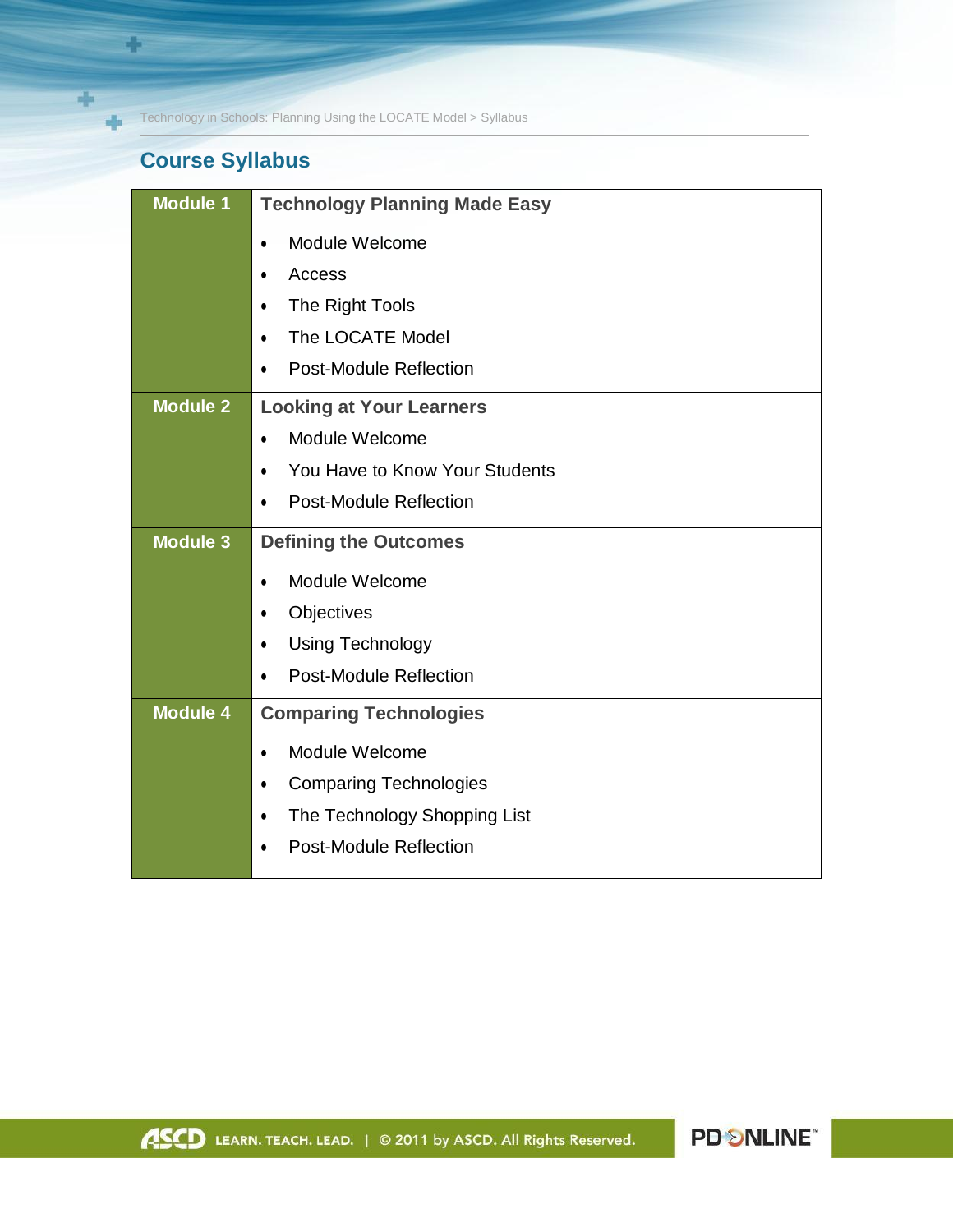Technology in Schools: Planning Using the LOCATE Model > Syllabus

## **Course Syllabus**

m

C)

dje

| <b>Module 1</b> | <b>Technology Planning Made Easy</b>        |
|-----------------|---------------------------------------------|
|                 | Module Welcome<br>$\bullet$                 |
|                 | Access<br>$\bullet$                         |
|                 | The Right Tools<br>$\bullet$                |
|                 | The LOCATE Model<br>$\bullet$               |
|                 | <b>Post-Module Reflection</b><br>$\bullet$  |
| <b>Module 2</b> | <b>Looking at Your Learners</b>             |
|                 | Module Welcome<br>$\bullet$                 |
|                 | You Have to Know Your Students<br>$\bullet$ |
|                 | <b>Post-Module Reflection</b><br>$\bullet$  |
|                 |                                             |
| <b>Module 3</b> | <b>Defining the Outcomes</b>                |
|                 | Module Welcome<br>$\bullet$                 |
|                 | Objectives<br>$\bullet$                     |
|                 | Using Technology<br>$\bullet$               |
|                 | <b>Post-Module Reflection</b><br>$\bullet$  |
| <b>Module 4</b> | <b>Comparing Technologies</b>               |
|                 | Module Welcome<br>$\bullet$                 |
|                 | <b>Comparing Technologies</b><br>$\bullet$  |
|                 | The Technology Shopping List<br>$\bullet$   |
|                 | <b>Post-Module Reflection</b><br>$\bullet$  |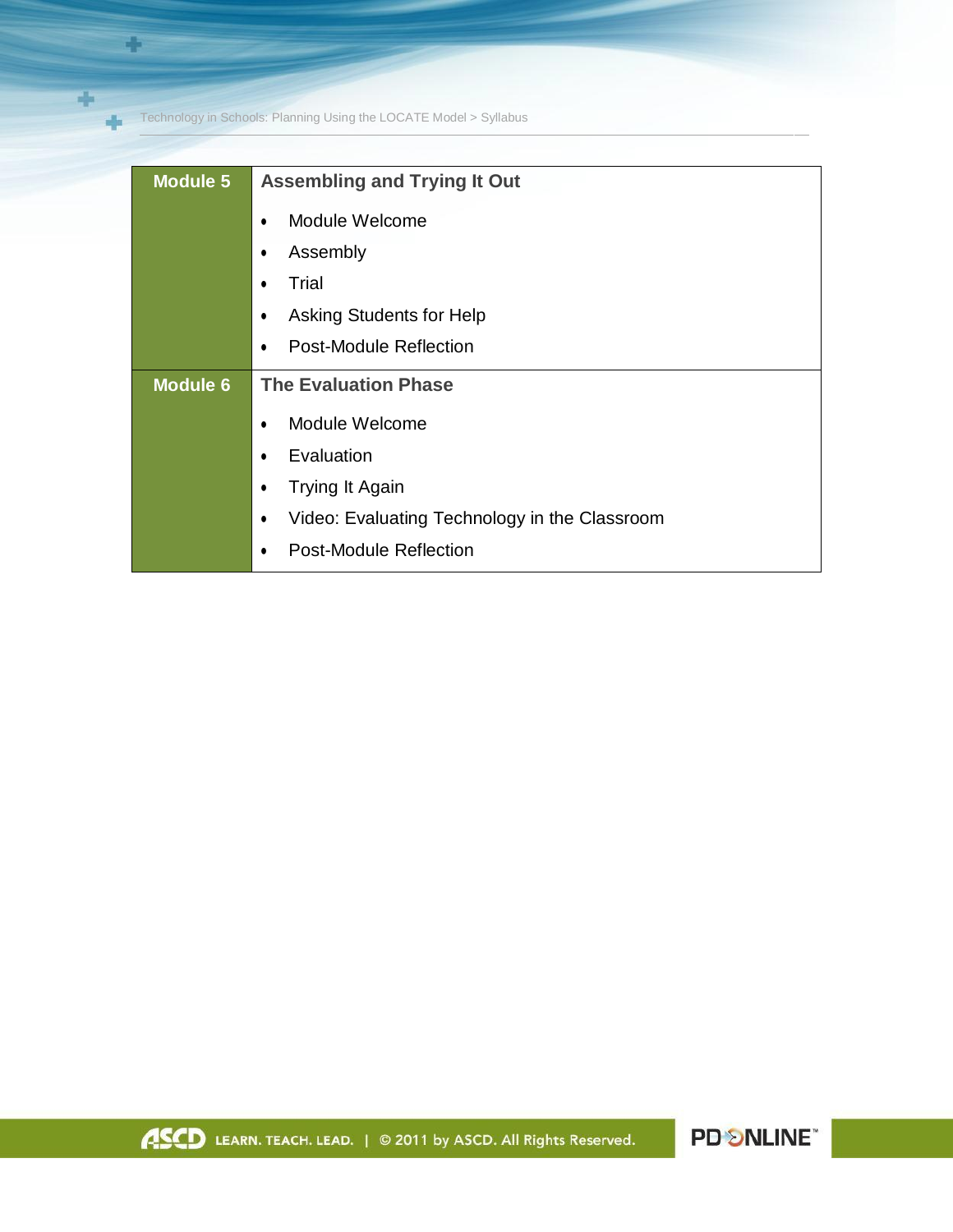Technology in Schools: Planning Using the LOCATE Model > Syllabus

m

÷

dje

| <b>Module 5</b> | <b>Assembling and Trying It Out</b>                        |
|-----------------|------------------------------------------------------------|
|                 | Module Welcome<br>$\bullet$                                |
|                 | Assembly<br>$\bullet$                                      |
|                 | Trial<br>$\bullet$                                         |
|                 | Asking Students for Help<br>$\bullet$                      |
|                 | Post-Module Reflection<br>$\bullet$                        |
| <b>Module 6</b> | <b>The Evaluation Phase</b>                                |
|                 | Module Welcome<br>$\bullet$                                |
|                 | Evaluation<br>$\bullet$                                    |
|                 | Trying It Again<br>$\bullet$                               |
|                 | Video: Evaluating Technology in the Classroom<br>$\bullet$ |
|                 | Post-Module Reflection<br>$\bullet$                        |